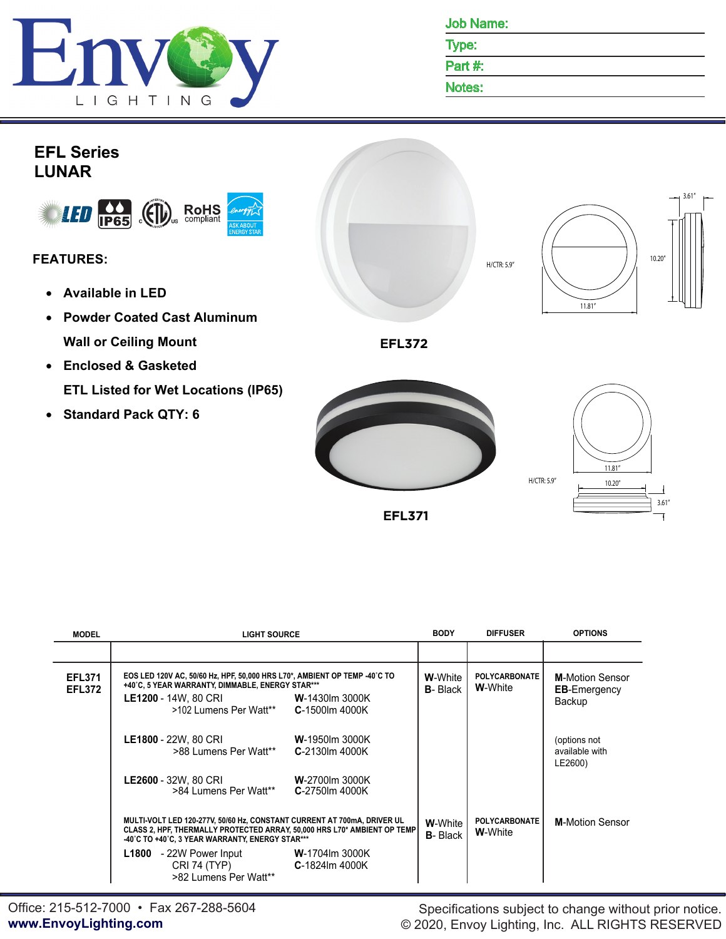

Job Name:

Type:

Part #:

Notes:



**EFL371**

| <b>MODEL</b>                   | <b>LIGHT SOURCE</b>                                                                                                                                                                                                                   |                                    | <b>DIFFUSER</b>                         | <b>OPTIONS</b>                                          |
|--------------------------------|---------------------------------------------------------------------------------------------------------------------------------------------------------------------------------------------------------------------------------------|------------------------------------|-----------------------------------------|---------------------------------------------------------|
|                                |                                                                                                                                                                                                                                       |                                    |                                         |                                                         |
| <b>EFL371</b><br><b>EFL372</b> | EOS LED 120V AC, 50/60 Hz, HPF, 50,000 HRS L70*, AMBIENT OP TEMP -40°C TO<br>+40°C, 5 YEAR WARRANTY, DIMMABLE, ENERGY STAR***<br><b>LE1200</b> - 14W, 80 CRI W-1430Im 3000K<br>$>102$ Lumens Per Watt <sup>**</sup> $C-1500$ lm 4000K | <b>W-</b> White<br><b>B</b> -Black | <b>POLYCARBONATE</b><br><b>W-</b> White | <b>M-Motion Sensor</b><br><b>EB-Emergency</b><br>Backup |
|                                | LE1800 - 22W. 80 CRI<br><b>W-1950lm 3000K</b><br>>88 Lumens Per Watt**<br>$C-2130$ lm 4000K                                                                                                                                           |                                    |                                         | (options not<br>available with<br>LE2600)               |
|                                | LE2600 - 32W, 80 CRI<br><b>W-2700lm 3000K</b><br>>84 Lumens Per Watt**<br>C-2750lm 4000K                                                                                                                                              |                                    |                                         |                                                         |
|                                | MULTI-VOLT LED 120-277V, 50/60 Hz, CONSTANT CURRENT AT 700mA, DRIVER UL<br>CLASS 2, HPF, THERMALLY PROTECTED ARRAY, 50,000 HRS L70* AMBIENT OP TEMP<br>-40°C TO +40°C, 3 YEAR WARRANTY, ENERGY STAR***                                |                                    | <b>POLYCARBONATE</b><br><b>W-</b> White | <b>M-Motion Sensor</b>                                  |
|                                | L1800 - 22W Power Input<br><b>W</b> -1704lm 3000K<br>CRI 74 (TYP) C-1824Im 4000K<br>>82 Lumens Per Watt**                                                                                                                             |                                    |                                         |                                                         |